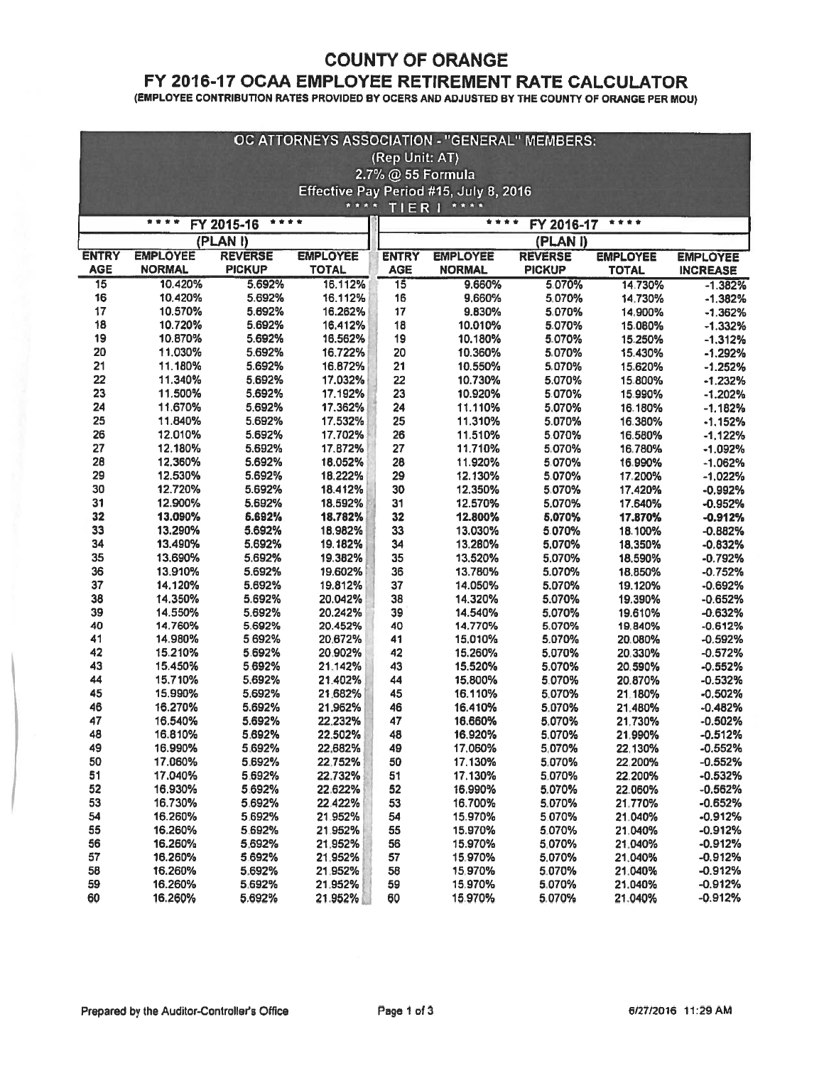#### COUNTY OF ORANGE

# FY 2016-17 OCAA EMPLOYEE RETIREMENT RATE CALCULATOR

(EMPLOYEE CONTRIBUTION RATES PROVIDED BY OCERS AND ADJUSTED BY THE COUNTY OF ORANGE PER MOU)

| OC ATTORNEYS ASSOCIATION - "GENERAL" MEMBERS:                                    |                    |                  |                    |                 |                                                                  |                  |                                 |                        |  |  |
|----------------------------------------------------------------------------------|--------------------|------------------|--------------------|-----------------|------------------------------------------------------------------|------------------|---------------------------------|------------------------|--|--|
| (Rep Unit: AT)                                                                   |                    |                  |                    |                 |                                                                  |                  |                                 |                        |  |  |
| 2.7% @ 55 Formula                                                                |                    |                  |                    |                 |                                                                  |                  |                                 |                        |  |  |
| Effective Pay Period #15, July 8, 2016                                           |                    |                  |                    |                 |                                                                  |                  |                                 |                        |  |  |
| * * * *<br>TIER   ****                                                           |                    |                  |                    |                 |                                                                  |                  |                                 |                        |  |  |
| * * * *<br>****<br>FY 2016-17<br>FY 2015-16                                      |                    |                  |                    |                 |                                                                  |                  |                                 |                        |  |  |
|                                                                                  |                    |                  |                    |                 |                                                                  |                  |                                 |                        |  |  |
| (PLAN I)<br><b>EMPLOYEE</b><br><b>REVERSE</b><br><b>EMPLOYEE</b><br><b>ENTRY</b> |                    |                  |                    | <b>ENTRY</b>    | (PLAN I)<br><b>EMPLOYEE</b><br><b>REVERSE</b><br><b>EMPLOYEE</b> |                  |                                 |                        |  |  |
| <b>AGE</b>                                                                       | <b>NORMAL</b>      | <b>PICKUP</b>    | <b>TOTAL</b>       | <b>AGE</b>      | <b>NORMAL</b>                                                    | <b>PICKUP</b>    | <b>EMPLOYEE</b><br><b>TOTAL</b> | <b>INCREASE</b>        |  |  |
| $\overline{15}$                                                                  | 10.420%            | 5.692%           | 16.112%            | $\overline{15}$ | 9.660%                                                           | 5.070%           | 14.730%                         | $-1.382%$              |  |  |
| 16                                                                               | 10.420%            | 5.692%           | 16.112%            | 16              | 9.660%                                                           | 5.070%           | 14.730%                         | $-1.382%$              |  |  |
| 17                                                                               | 10.570%            | 5.692%           | 16.262%            | 17              | 9.830%                                                           | 5.070%           | 14,900%                         | $-1.362%$              |  |  |
| 18                                                                               | 10.720%            | 5.692%           | 16.412%            | 18              | 10.010%                                                          | 5.070%           | 15.080%                         | $-1.332%$              |  |  |
| 19                                                                               | 10.870%            | 5.692%           | 16.562%            | 19              | 10.180%                                                          | 5.070%           | 15.250%                         | $-1.312%$              |  |  |
| 20                                                                               | 11.030%            | 5.692%           | 16.722%            | 20              | 10.360%                                                          | 5.070%           | 15.430%                         | $-1.292%$              |  |  |
| 21                                                                               | 11.180%            | 5.692%           | 16.872%            | 21              | 10.550%                                                          | 5.070%           | 15.620%                         | $-1.252%$              |  |  |
| 22                                                                               | 11.340%            | 5.692%           | 17.032%            | 22              | 10.730%                                                          | 5.070%           | 15.800%                         | $-1.232%$              |  |  |
| 23                                                                               | 11.500%            | 5.692%           | 17.192%            | 23              | 10.920%                                                          | 5.070%           | 15.990%                         | $-1.202%$              |  |  |
| 24                                                                               | 11.670%            | 5.692%           | 17.362%            | 24              | 11.110%                                                          | 5.070%           | 16.180%                         | $-1.182%$              |  |  |
| 25                                                                               | 11.840%            | 5.692%           | 17.532%            | 25              | 11.310%                                                          | 5.070%           | 16.380%                         | $-1.152%$              |  |  |
| 26                                                                               | 12.010%            | 5.692%           | 17.702%            | 26              | 11.510%                                                          | 5.070%           | 16.580%                         | $-1.122%$              |  |  |
| 27                                                                               | 12.180%            | 5.692%           | 17.872%            | 27              | 11.710%                                                          | 5.070%           | 16.780%                         | $-1.092%$              |  |  |
| 28                                                                               | 12.360%            | 5.692%           | 18.052%            | 28              | 11.920%                                                          | 5.070%           | 16.990%                         | $-1.062%$              |  |  |
| 29                                                                               | 12.530%            | 5.692%           | 18.222%            | 29              | 12.130%                                                          | 5.070%           | 17.200%                         | $-1.022%$              |  |  |
| 30                                                                               | 12.720%            | 5.692%           | 18.412%            | 30              | 12.350%                                                          | 5.070%           | 17.420%                         | $-0.992%$              |  |  |
| 31                                                                               | 12.900%            | 5.692%           | 18.592%            | 31              | 12.570%                                                          | 5.070%           | 17.640%                         | $-0.952%$              |  |  |
| 32                                                                               | 13.090%            | 5.692%           | 18.782%            | 32              | 12.800%                                                          | 5.070%           | 17.870%                         | $-0.912%$              |  |  |
| 33                                                                               | 13.290%            | 5.692%           | 18.982%            | 33              | 13.030%                                                          | 5.070%           | 18.100%                         | $-0.882%$              |  |  |
| 34                                                                               | 13.490%            | 5.692%           | 19.182%            | 34              | 13.280%                                                          | 5.070%           | 18.350%                         | $-0.832%$              |  |  |
| 35                                                                               | 13.690%            | 5.692%           | 19.382%            | 35              | 13.520%                                                          | 5.070%           | 18.590%                         | $-0.792%$              |  |  |
| 36                                                                               | 13.910%            | 5.692%           | 19.602%            | 36              | 13.780%                                                          | 5.070%           | 18.850%                         | $-0.752%$              |  |  |
| 37                                                                               | 14.120%            | 5.692%           | 19.812%            | 37              | 14.050%                                                          | 5.070%           | 19.120%                         | $-0.692%$              |  |  |
| 38                                                                               | 14.350%            | 5.692%           | 20.042%            | 38              | 14.320%                                                          | 5.070%           | 19.390%                         | $-0.652%$              |  |  |
| 39                                                                               | 14.550%            | 5.692%           | 20.242%            | 39              | 14.540%                                                          | 5.070%           | 19.610%                         | $-0.632%$              |  |  |
| 40                                                                               | 14.760%            | 5.692%           | 20.452%            | 40              | 14.770%                                                          | 5.070%           | 19.840%                         | $-0.612%$              |  |  |
| 41                                                                               | 14.980%            | 5692%            | 20.672%            | 41              | 15.010%                                                          | 5.070%           | 20.080%                         | $-0.592%$              |  |  |
| 42                                                                               | 15.210%            | 5.692%           | 20.902%            | 42              | 15.260%                                                          | 5.070%           | 20.330%                         | $-0.572%$              |  |  |
| 43                                                                               | 15.450%            | 5.692%           | 21.142%            | 43              | 15.520%                                                          | 5.070%           | 20.590%                         | $-0.552%$              |  |  |
| 44                                                                               | 15.710%            | 5.692%           | 21.402%            | 44              | 15.800%                                                          | 5.070%           | 20.870%                         | $-0.532%$              |  |  |
| 45                                                                               | 15.990%            | 5.692%           | 21.682%            | 45              | 16.110%                                                          | 5.070%           | 21.180%                         | $-0.502%$              |  |  |
| 46                                                                               | 16.270%            | 5.692%           | 21.962%            | 46<br>47        | 16.410%                                                          | 5.070%           | 21.480%                         | $-0.482%$              |  |  |
| 47                                                                               | 16.540%            | 5.692%           | 22.232%            |                 | 16.660%                                                          | 5.070%           | 21.730%                         | $-0.502%$              |  |  |
| 48<br>49                                                                         | 16.810%<br>16.990% | 5.692%<br>5.692% | 22.502%<br>22.682% | 48<br>49        | 16.920%<br>17.060%                                               | 5.070%<br>5,070% | 21.990%                         | -0.512%<br>$-0.552%$   |  |  |
| 50                                                                               | 17.060%            | 5.692%           | 22,752%            |                 | 17.130%                                                          |                  | 22.130%                         | $-0.552%$              |  |  |
| 51                                                                               | 17.040%            | 5.692%           |                    | 50              |                                                                  | 5.070%           | 22,200%                         |                        |  |  |
| 52                                                                               | 16.930%            | 5.692%           | 22.732%<br>22.622% | 51<br>52        | 17.130%<br>16.990%                                               | 5.070%<br>5.070% | 22.200%<br>22.060%              | $-0.532%$<br>$-0.562%$ |  |  |
| 53                                                                               | 16.730%            | 5,692%           | 22.422%            | 53              | 16.700%                                                          | 5.070%           | 21.770%                         | $-0.652%$              |  |  |
| 54                                                                               | 16.260%            | 5.692%           | 21.952%            | 54              | 15.970%                                                          | 5.070%           | 21.040%                         | $-0.912%$              |  |  |
| 55                                                                               | 16.260%            | 5.692%           | 21.952%            | 55              | 15.970%                                                          | 5.070%           | 21.040%                         | $-0.912%$              |  |  |
| 56                                                                               | 16.260%            | 5.692%           | 21.952%            | 56              | 15.970%                                                          | 5.070%           | 21.040%                         | $-0.912%$              |  |  |
| 57                                                                               | 16.260%            | 5.692%           | 21.952%            | 57              | 15.970%                                                          | 5.070%           | 21.040%                         | $-0.912%$              |  |  |
| 58                                                                               | 16.260%            | 5.692%           | 21.952%            | 58              | 15.970%                                                          | 5.070%           | 21.040%                         | $-0.912%$              |  |  |
| 59                                                                               | 16.260%            | 5.692%           | 21.952%            | 59              | 15.970%                                                          | 5.070%           | 21.040%                         | $-0.912%$              |  |  |
| 60                                                                               | 16.260%            | 5.692%           | 21.952%            | 60              | 15,970%                                                          | 5.070%           | 21.040%                         | $-0.912%$              |  |  |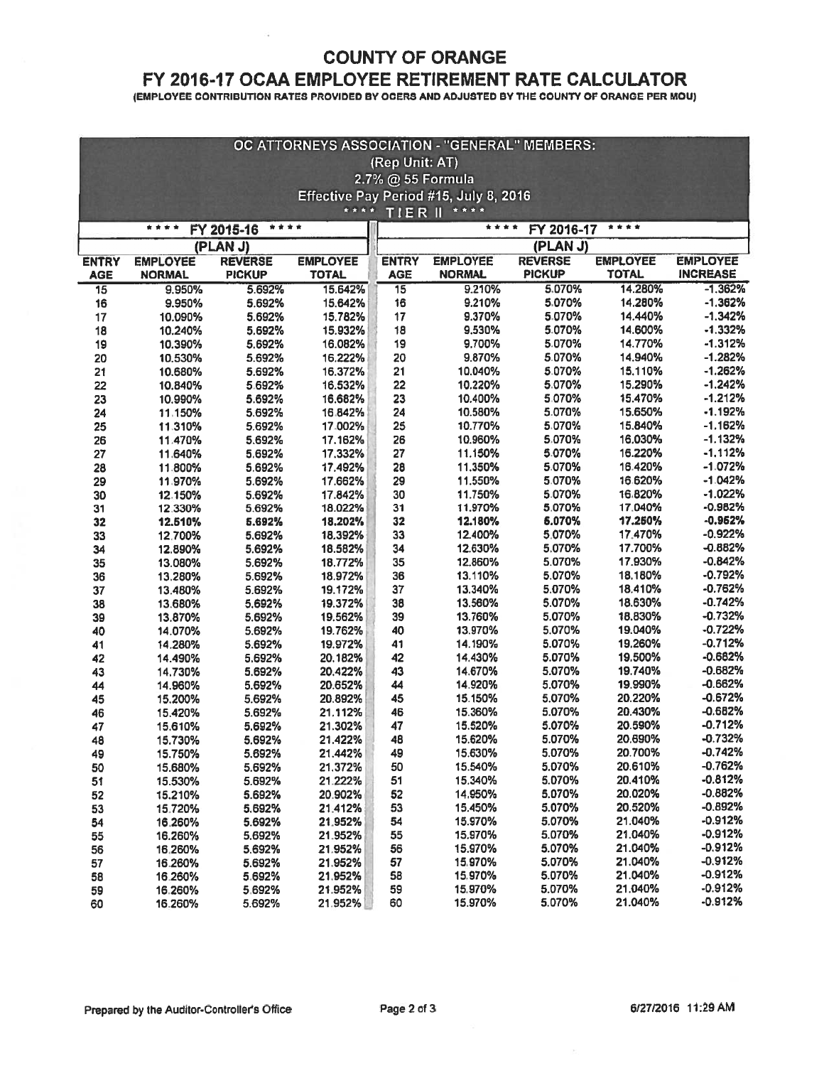## COUNTY OF ORANGE

### FY 2016-17 OCAA EMPLOYEE RETIREMENT RATE CALCULATOR

(EMPLOYEE CONTRIBUTION RATES PROVIDED BY OCERS AND ADJUSTED BY THE COUNTY OF ORANGE PER MOU)

| OC ATTORNEYS ASSOCIATION - "GENERAL" MEMBERS:        |                    |                  |                    |                 |                    |                  |                    |                        |  |  |
|------------------------------------------------------|--------------------|------------------|--------------------|-----------------|--------------------|------------------|--------------------|------------------------|--|--|
| (Rep Unit: AT)                                       |                    |                  |                    |                 |                    |                  |                    |                        |  |  |
| 2.7% @ 55 Formula                                    |                    |                  |                    |                 |                    |                  |                    |                        |  |  |
| Effective Pay Period #15, July 8, 2016               |                    |                  |                    |                 |                    |                  |                    |                        |  |  |
| * * * *<br>* * * *<br>TIERI                          |                    |                  |                    |                 |                    |                  |                    |                        |  |  |
| ****<br>* * * *<br>FY 2016-17<br>* * *<br>FY 2015-16 |                    |                  |                    |                 |                    |                  |                    |                        |  |  |
| (PLAN J)<br>(PLAN J)                                 |                    |                  |                    |                 |                    |                  |                    |                        |  |  |
| <b>ENTRY</b>                                         | <b>EMPLOYEE</b>    | <b>REVERSE</b>   | <b>EMPLOYEE</b>    | <b>ENTRY</b>    | <b>EMPLOYEE</b>    | <b>REVERSE</b>   | <b>EMPLOYEE</b>    | <b>EMPLOYEE</b>        |  |  |
| <b>AGE</b>                                           | <b>NORMAL</b>      | <b>PICKUP</b>    | <b>TOTAL</b>       | <b>AGE</b>      | <b>NORMAL</b>      | <b>PICKUP</b>    | <b>TOTAL</b>       | <b>INCREASE</b>        |  |  |
| $\overline{15}$                                      | 9.950%             | 5.692%           | 15.642%            | $\overline{15}$ | 9.210%             | 5,070%           | 14.280%            | $-1.362%$              |  |  |
| 16                                                   | 9.950%             | 5.692%           | 15.642%            | 16              | 9.210%             | 5.070%           | 14.280%            | $-1.362%$              |  |  |
| 17                                                   | 10.090%            | 5.692%           | 15.782%            | 17              | 9.370%             | 5.070%           | 14.440%            | $-1.342%$              |  |  |
| 18                                                   | 10.240%            | 5.692%           | 15.932%            | 18              | 9.530%             | 5.070%           | 14.600%            | $-1.332%$              |  |  |
| 19                                                   | 10.390%            | 5.692%           | 16.082%            | 19              | 9.700%             | 5.070%           | 14.770%            | $-1.312%$              |  |  |
| 20                                                   | 10.530%            | 5.692%           | 16.222%            | 20              | 9.870%             | 5.070%           | 14.940%            | $-1.282%$              |  |  |
| 21                                                   | 10.680%            | 5.692%           | 16.372%            | 21              | 10.040%            | 5.070%           | 15.110%            | $-1.262%$              |  |  |
| 22                                                   | 10.840%            | 5.692%           | 16.532%            | 22              | 10.220%            | 5.070%           | 15.290%            | $-1.242%$              |  |  |
| 23                                                   | 10.990%            | 5.692%           | 16.682%            | 23              | 10.400%            | 5.070%           | 15.470%            | $-1.212%$              |  |  |
| 24                                                   | 11.150%            | 5.692%           | 16.842%            | 24              | 10.580%            | 5.070%           | 15.650%            | $-1.192%$              |  |  |
| 25                                                   | 11:310%            | 5.692%           | 17.002%            | 25              | 10.770%            | 5.070%           | 15.840%            | $-1.162%$              |  |  |
| 26                                                   | 11.470%            | 5.692%           | 17.162%            | 26              | 10.960%            | 5,070%           | 16.030%            | $-1.132%$              |  |  |
| 27                                                   | 11.640%            | 5.692%           | 17.332%            | 27              | 11.150%            | 5.070%           | 16.220%            | $-1.112%$              |  |  |
| 28                                                   | 11:800%            | 5.692%           | 17.492%            | 28              | 11.350%            | 5.070%           | 16.420%            | $-1.072%$              |  |  |
| 29                                                   | 11.970%            | 5.692%           | 17.662%            | 29              | 11.550%            | 5.070%           | 16.620%            | $-1.042%$              |  |  |
| 30                                                   | 12.150%            | 5.692%           | 17.842%            | 30              | 11.750%            | 5.070%           | 16,820%            | $-1.022%$              |  |  |
| 31                                                   | 12,330%            | 5.692%           | 18.022%            | 31              | 11.970%            | 5,070%           | 17.040%            | $-0.982%$<br>$-0.962%$ |  |  |
| 32                                                   | 12.510%            | 5.692%           | 18.202%            | 32<br>33        | 12.180%<br>12.400% | 6.070%<br>5.070% | 17.250%<br>17:470% | $-0.922%$              |  |  |
| 33                                                   | 12.700%            | 5.692%           | 18.392%<br>18.582% | 34              | 12.630%            | 5.070%           | 17.700%            | $-0.682%$              |  |  |
| 34                                                   | 12.890%<br>13.080% | 5.692%<br>5.692% | 18.772%            | 35              | 12.860%            | 5.070%           | 17.930%            | $-0.842%$              |  |  |
| 35<br>36                                             | 13.280%            | 5.692%           | 18.972%            | 36              | 13.110%            | 5.070%           | 18.180%            | $-0.792%$              |  |  |
| 37                                                   | 13.480%            | 5.692%           | 19.172%            | 37              | 13.340%            | 5.070%           | 18.410%            | $-0.762%$              |  |  |
| 38                                                   | 13.680%            | 5.692%           | 19.372%            | 38              | 13.560%            | 5.070%           | 18.630%            | $-0.742%$              |  |  |
| 39                                                   | 13.870%            | 5.692%           | 19.562%            | 39              | 13.760%            | 5.070%           | 18.830%            | $-0.732%$              |  |  |
| 40                                                   | 14.070%            | 5.692%           | 19.762%            | 40              | 13.970%            | 5.070%           | 19.040%            | $-0.722%$              |  |  |
| 41                                                   | 14.280%            | 5.692%           | 19.972%            | 41              | 14.190%            | 5.070%           | 19.260%            | $-0.712%$              |  |  |
| 42                                                   | 14.490%            | 5.692%           | 20.182%            | 42              | 14.430%            | 5.070%           | 19.500%            | $-0.682%$              |  |  |
| 43                                                   | 14.730%            | 5.692%           | 20.422%            | 43              | 14.670%            | 5.070%           | 19.740%            | $-0.682%$              |  |  |
| 44                                                   | 14.960%            | 5.692%           | 20.652%            | 44              | 14.920%            | 5.070%           | 19.990%            | $-0.662%$              |  |  |
| 45                                                   | 15.200%            | 5.692%           | 20.892%            | 45              | 15.150%            | 5.070%           | 20.220%            | $-0.672%$              |  |  |
| 46                                                   | 15.420%            | 5.692%           | 21.112%            | 46              | 15.360%            | 5.070%           | 20.430%            | $-0.682%$              |  |  |
| 47                                                   | 15.610%            | 5.692%           | 21.302%            | 47              | 15.520%            | 5.070%           | 20.590%            | $-0.712%$              |  |  |
| 48                                                   | 15.730%            | 5.692%           | 21.422%            | 48              | 15.620%            | 5.070%           | 20.690%            | $-0.732%$              |  |  |
| 49                                                   | 15.750%            | 5.692%           | 21.442%            | 49              | 15.630%            | 5.070%           | 20.700%            | $-0.742%$              |  |  |
| 50                                                   | 15.680%            | 5.692%           | 21.372%            | 50              | 15.540%            | 5.070%           | 20.610%            | $-0.762%$              |  |  |
| 51                                                   | 15.530%            | 5.692%           | 21.222%            | 51              | 15,340%            | 5.070%           | 20.410%            | $-0.812%$              |  |  |
| 52                                                   | 15.210%            | 5.692%           | 20.902%            | 52              | 14.950%            | 5.070%           | 20.020%            | $-0.882%$              |  |  |
| 53                                                   | 15.720%            | 5.692%           | 21.412%            | 53              | 15.450%            | 5.070%           | 20.520%            | $-0.892%$              |  |  |
| 54                                                   | 16.260%            | 5.692%           | 21.952%            | 54              | 15.970%            | 5.070%           | 21.040%            | $-0.912%$              |  |  |
| 55                                                   | 16.260%            | 5.692%           | 21.952%            | 55              | 15.970%            | 5.070%           | 21.040%            | $-0.912%$              |  |  |
| 56                                                   | 16.260%            | 5.692%           | 21.952%            | 56              | 15.970%            | 5.070%           | 21.040%            | $-0.912%$              |  |  |
| 57                                                   | 16.260%            | 5.692%           | 21.952%            | 57              | 15.970%            | 5.070%           | 21.040%            | $-0.912%$              |  |  |
| 58                                                   | 16.260%            | 5.692%           | 21.952%            | 58              | 15.970%            | 5.070%           | 21.040%            | $-0.912%$              |  |  |
| 59                                                   | 16.260%            | 5.692%           | 21.952%            | 59              | 15.970%            | 5.070%           | 21.040%            | $-0.912%$              |  |  |
| 60                                                   | 16.260%            | 5.692%           | 21.952%            | 60              | 15.970%            | 5.070%           | 21.040%            | $-0.912%$              |  |  |